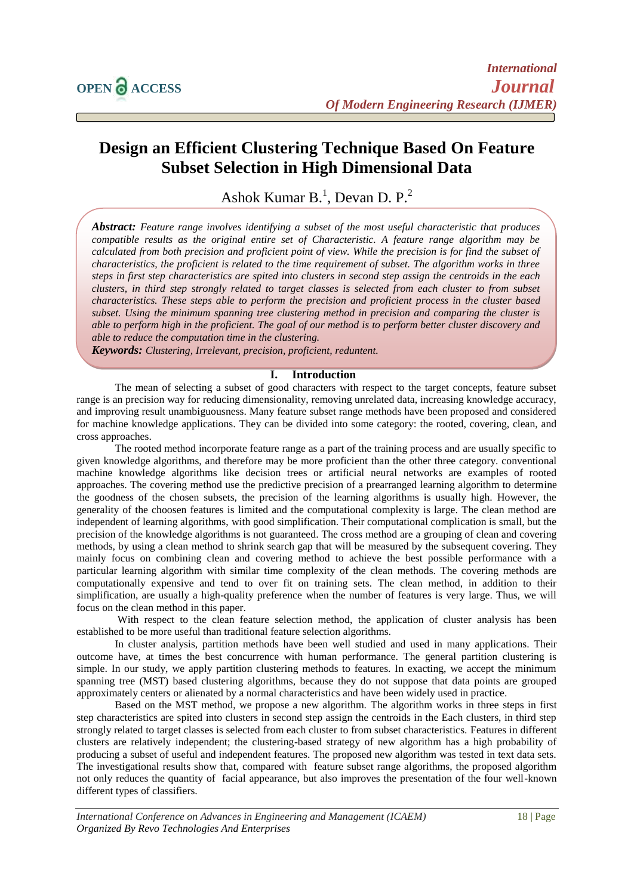# **Design an Efficient Clustering Technique Based On Feature Subset Selection in High Dimensional Data**

# Ashok Kumar B.<sup>1</sup>, Devan D. P.<sup>2</sup>

*Abstract: Feature range involves identifying a subset of the most useful characteristic that produces compatible results as the original entire set of Characteristic. A feature range algorithm may be calculated from both precision and proficient point of view. While the precision is for find the subset of characteristics, the proficient is related to the time requirement of subset. The algorithm works in three steps in first step characteristics are spited into clusters in second step assign the centroids in the each clusters, in third step strongly related to target classes is selected from each cluster to from subset characteristics. These steps able to perform the precision and proficient process in the cluster based subset. Using the minimum spanning tree clustering method in precision and comparing the cluster is able to perform high in the proficient. The goal of our method is to perform better cluster discovery and able to reduce the computation time in the clustering.*

*Keywords: Clustering, Irrelevant, precision, proficient, reduntent.*

### **I. Introduction**

The mean of selecting a subset of good characters with respect to the target concepts, feature subset range is an precision way for reducing dimensionality, removing unrelated data, increasing knowledge accuracy, and improving result unambiguousness. Many feature subset range methods have been proposed and considered for machine knowledge applications. They can be divided into some category: the rooted, covering, clean, and cross approaches.

The rooted method incorporate feature range as a part of the training process and are usually specific to given knowledge algorithms, and therefore may be more proficient than the other three category. conventional machine knowledge algorithms like decision trees or artificial neural networks are examples of rooted approaches. The covering method use the predictive precision of a prearranged learning algorithm to determine the goodness of the chosen subsets, the precision of the learning algorithms is usually high. However, the generality of the choosen features is limited and the computational complexity is large. The clean method are independent of learning algorithms, with good simplification. Their computational complication is small, but the precision of the knowledge algorithms is not guaranteed. The cross method are a grouping of clean and covering methods, by using a clean method to shrink search gap that will be measured by the subsequent covering. They mainly focus on combining clean and covering method to achieve the best possible performance with a particular learning algorithm with similar time complexity of the clean methods. The covering methods are computationally expensive and tend to over fit on training sets. The clean method, in addition to their simplification, are usually a high-quality preference when the number of features is very large. Thus, we will focus on the clean method in this paper.

With respect to the clean feature selection method, the application of cluster analysis has been established to be more useful than traditional feature selection algorithms.

In cluster analysis, partition methods have been well studied and used in many applications. Their outcome have, at times the best concurrence with human performance. The general partition clustering is simple. In our study, we apply partition clustering methods to features. In exacting, we accept the minimum spanning tree (MST) based clustering algorithms, because they do not suppose that data points are grouped approximately centers or alienated by a normal characteristics and have been widely used in practice.

Based on the MST method, we propose a new algorithm. The algorithm works in three steps in first step characteristics are spited into clusters in second step assign the centroids in the Each clusters, in third step strongly related to target classes is selected from each cluster to from subset characteristics. Features in different clusters are relatively independent; the clustering-based strategy of new algorithm has a high probability of producing a subset of useful and independent features. The proposed new algorithm was tested in text data sets. The investigational results show that, compared with feature subset range algorithms, the proposed algorithm not only reduces the quantity of facial appearance, but also improves the presentation of the four well-known different types of classifiers.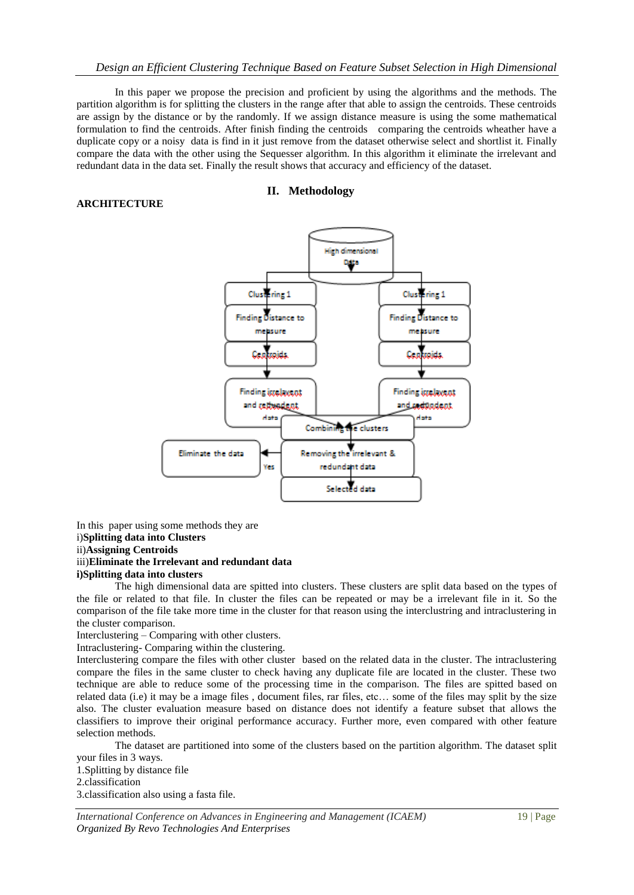## *Design an Efficient Clustering Technique Based on Feature Subset Selection in High Dimensional*

In this paper we propose the precision and proficient by using the algorithms and the methods. The partition algorithm is for splitting the clusters in the range after that able to assign the centroids. These centroids are assign by the distance or by the randomly. If we assign distance measure is using the some mathematical formulation to find the centroids. After finish finding the centroids comparing the centroids wheather have a duplicate copy or a noisy data is find in it just remove from the dataset otherwise select and shortlist it. Finally compare the data with the other using the Sequesser algorithm. In this algorithm it eliminate the irrelevant and redundant data in the data set. Finally the result shows that accuracy and efficiency of the dataset.

# **II. Methodology**



#### In this paper using some methods they are i)**Splitting data into Clusters** ii)**Assigning Centroids** iii)**Eliminate the Irrelevant and redundant data i)Splitting data into clusters**

**ARCHITECTURE**

The high dimensional data are spitted into clusters. These clusters are split data based on the types of the file or related to that file. In cluster the files can be repeated or may be a irrelevant file in it. So the comparison of the file take more time in the cluster for that reason using the interclustring and intraclustering in the cluster comparison.

Interclustering – Comparing with other clusters.

Intraclustering- Comparing within the clustering.

Interclustering compare the files with other cluster based on the related data in the cluster. The intraclustering compare the files in the same cluster to check having any duplicate file are located in the cluster. These two technique are able to reduce some of the processing time in the comparison. The files are spitted based on related data (i.e) it may be a image files , document files, rar files, etc… some of the files may split by the size also. The cluster evaluation measure based on distance does not identify a feature subset that allows the classifiers to improve their original performance accuracy. Further more, even compared with other feature selection methods.

The dataset are partitioned into some of the clusters based on the partition algorithm. The dataset split your files in 3 ways.

1.Splitting by distance file 2.classification 3.classification also using a fasta file.

*International Conference on Advances in Engineering and Management (ICAEM)* 19 | Page *Organized By Revo Technologies And Enterprises*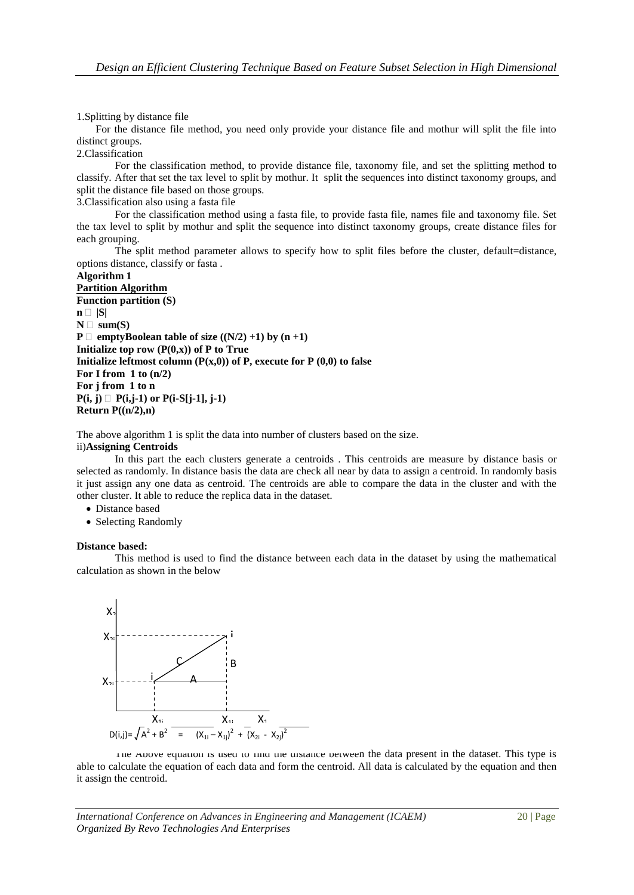1.Splitting by distance file

For the distance file method, you need only provide your distance file and mothur will split the file into distinct groups.

2.Classification

For the classification method, to provide distance file, taxonomy file, and set the splitting method to classify. After that set the tax level to split by mothur. It split the sequences into distinct taxonomy groups, and split the distance file based on those groups.

3.Classification also using a fasta file

For the classification method using a fasta file, to provide fasta file, names file and taxonomy file. Set the tax level to split by mothur and split the sequence into distinct taxonomy groups, create distance files for each grouping.

The split method parameter allows to specify how to split files before the cluster, default=distance, options distance, classify or fasta .

## **Algorithm 1**

```
Partition Algorithm
Function partition (S)
\mathbf{n} \square |S|
N \square sum(S)
P \Box emptyBoolean table of size ((N/2) +1) by (n +1)
Initialize top row (P(0,x)) of P to True
Initialize leftmost column (P(x,0)) of P, execute for P (0,0) to false
For I from 1 to (n/2)
For j from 1 to n
P(i, j) \Box P(i,j-1) or P(i-S[j-1], j-1)Return P((n/2),n)
```
The above algorithm 1 is split the data into number of clusters based on the size.

#### ii)**Assigning Centroids**

In this part the each clusters generate a centroids . This centroids are measure by distance basis or selected as randomly. In distance basis the data are check all near by data to assign a centroid. In randomly basis it just assign any one data as centroid. The centroids are able to compare the data in the cluster and with the other cluster. It able to reduce the replica data in the dataset.

- Distance based
- Selecting Randomly

#### **Distance based:**

This method is used to find the distance between each data in the dataset by using the mathematical calculation as shown in the below



The Above equation is used to find the distance between the data present in the dataset. This type is able to calculate the equation of each data and form the centroid. All data is calculated by the equation and then it assign the centroid.

*International Conference on Advances in Engineering and Management (ICAEM)* 20 | Page *Organized By Revo Technologies And Enterprises*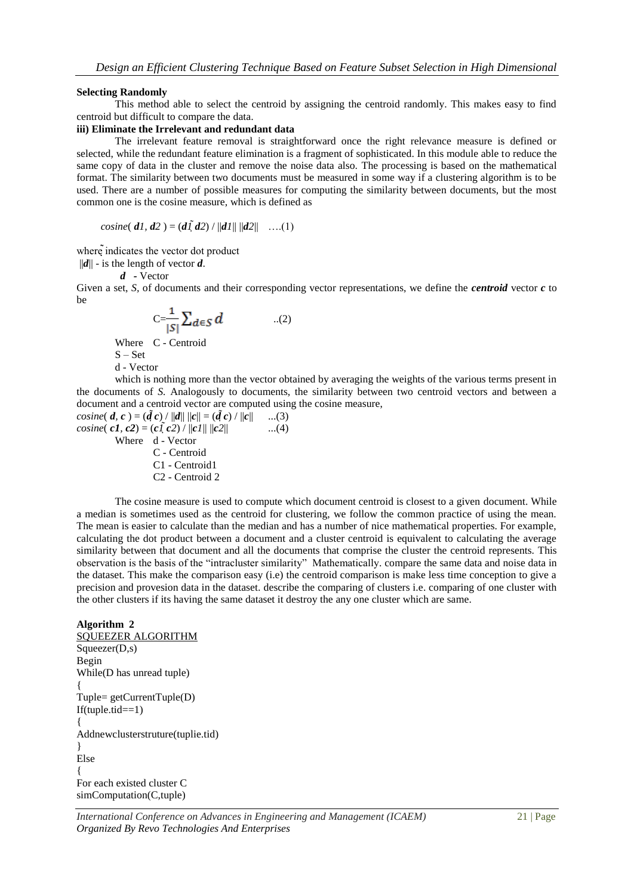#### **Selecting Randomly**

This method able to select the centroid by assigning the centroid randomly. This makes easy to find centroid but difficult to compare the data.

#### **iii) Eliminate the Irrelevant and redundant data**

The irrelevant feature removal is straightforward once the right relevance measure is defined or selected, while the redundant feature elimination is a fragment of sophisticated. In this module able to reduce the same copy of data in the cluster and remove the noise data also. The processing is based on the mathematical format. The similarity between two documents must be measured in some way if a clustering algorithm is to be used. There are a number of possible measures for computing the similarity between documents, but the most common one is the cosine measure, which is defined as

$$
cosine(\, d1, d2\,) = (d1\, d2) / ||d1|| \, ||d2|| \quad \ldots (1)
$$

where indicates the vector dot product

 $||d||$  - is the length of vector *d*.

*d -* Vector

Given a set, *S,* of documents and their corresponding vector representations, we define the *centroid* vector *c* to be

$$
C = \frac{1}{|S|} \sum_{d \in S} d \qquad \qquad ...(2)
$$

Where C - Centroid S – Set

d - Vector

which is nothing more than the vector obtained by averaging the weights of the various terms present in the documents of *S.* Analogously to documents, the similarity between two centroid vectors and between a document and a centroid vector are computed using the cosine measure,

cosine(
$$
\mathbf{d}, \mathbf{c}
$$
) = ( $\tilde{\mathbf{d}} \mathbf{c}$ ) /  $||\mathbf{d}|| ||\mathbf{c}|| = (\tilde{\mathbf{d}} \mathbf{c}) / ||\mathbf{c}||$  ...(3)  
\ncosine( $\mathbf{c1}, \mathbf{c2}$ ) = ( $\mathbf{c1}$  ( $\mathbf{c2}$ ) /  $||\mathbf{c1}|| ||\mathbf{c2}||$  ...(4)  
\nWhere  $\mathbf{d}$  - Vector  
\nC - Centroid  
\nC1 - Centroid1  
\nC2 - Centroid 2

The cosine measure is used to compute which document centroid is closest to a given document. While a median is sometimes used as the centroid for clustering, we follow the common practice of using the mean. The mean is easier to calculate than the median and has a number of nice mathematical properties. For example, calculating the dot product between a document and a cluster centroid is equivalent to calculating the average similarity between that document and all the documents that comprise the cluster the centroid represents. This observation is the basis of the "intracluster similarity" Mathematically. compare the same data and noise data in the dataset. This make the comparison easy (i.e) the centroid comparison is make less time conception to give a precision and provesion data in the dataset. describe the comparing of clusters i.e. comparing of one cluster with the other clusters if its having the same dataset it destroy the any one cluster which are same.

#### **Algorithm 2**

SQUEEZER ALGORITHM  $Squeezer(D,s)$ Begin While(D has unread tuple) { Tuple= getCurrentTuple(D)  $If(tuple.tid==1)$ { Addnewclusterstruture(tuplie.tid) } Else { For each existed cluster C simComputation(C,tuple)

*International Conference on Advances in Engineering and Management (ICAEM)* 21 | Page *Organized By Revo Technologies And Enterprises*